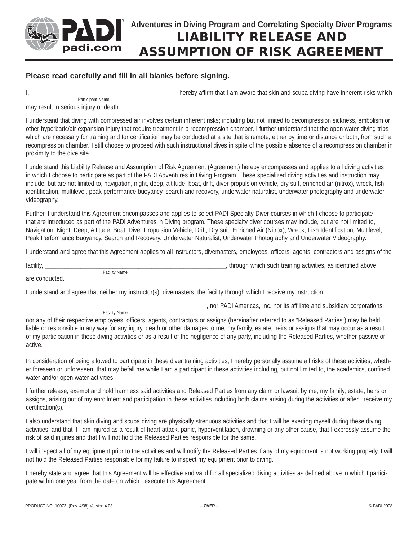

## **Adventures in Diving Program and Correlating Specialty Diver Programs LIABILITY RELEASE AND ASSUMPTION OF RISK AGREEMENT**

## **Please read carefully and fill in all blanks before signing.**

I, the state of the state of the state of the state of the state of the state of the state of the state of the state of the state of the state of the state of the state of the state of the state of the state of the state o Participant Name

may result in serious injury or death.

I understand that diving with compressed air involves certain inherent risks; including but not limited to decompression sickness, embolism or other hyperbaric/air expansion injury that require treatment in a recompression chamber. I further understand that the open water diving trips which are necessary for training and for certification may be conducted at a site that is remote, either by time or distance or both, from such a recompression chamber. I still choose to proceed with such instructional dives in spite of the possible absence of a recompression chamber in proximity to the dive site.

I understand this Liability Release and Assumption of Risk Agreement (Agreement) hereby encompasses and applies to all diving activities in which I choose to participate as part of the PADI Adventures in Diving Program. These specialized diving activities and instruction may include, but are not limited to, navigation, night, deep, altitude, boat, drift, diver propulsion vehicle, dry suit, enriched air (nitrox), wreck, fish identification, multilevel, peak performance buoyancy, search and recovery, underwater naturalist, underwater photography and underwater videography.

Further, I understand this Agreement encompasses and applies to select PADI Specialty Diver courses in which I choose to participate that are introduced as part of the PADI Adventures in Diving program. These specialty diver courses may include, but are not limited to, Navigation, Night, Deep, Altitude, Boat, Diver Propulsion Vehicle, Drift, Dry suit, Enriched Air (Nitrox), Wreck, Fish Identification, Multilevel, Peak Performance Buoyancy, Search and Recovery, Underwater Naturalist, Underwater Photography and Underwater Videography.

I understand and agree that this Agreement applies to all instructors, divemasters, employees, officers, agents, contractors and assigns of the

facility, \_\_\_\_\_\_\_\_\_\_\_\_\_\_\_\_\_\_\_\_\_\_\_\_\_\_\_\_\_\_\_\_\_\_\_\_\_\_\_\_\_\_\_\_\_\_\_\_\_\_\_\_\_\_\_\_, through which such training activities, as identified above, Facility Name

are conducted.

I understand and agree that neither my instructor(s), divemasters, the facility through which I receive my instruction,

Facility Name **Example 2018** Capacility Name **Example 2018** Capacility Name **Example 2019** Capacility Name **Example 2019** Capacility Name **Example 2019** Capacility Name **Example 2019** Capacility Name **Example 2019** Capacit

nor any of their respective employees, officers, agents, contractors or assigns (hereinafter referred to as "Released Parties") may be held liable or responsible in any way for any injury, death or other damages to me, my family, estate, heirs or assigns that may occur as a result of my participation in these diving activities or as a result of the negligence of any party, including the Released Parties, whether passive or active.

In consideration of being allowed to participate in these diver training activities, I hereby personally assume all risks of these activities, whether foreseen or unforeseen, that may befall me while I am a participant in these activities including, but not limited to, the academics, confined water and/or open water activities.

I further release, exempt and hold harmless said activities and Released Parties from any claim or lawsuit by me, my family, estate, heirs or assigns, arising out of my enrollment and participation in these activities including both claims arising during the activities or after I receive my certification(s).

I also understand that skin diving and scuba diving are physically strenuous activities and that I will be exerting myself during these diving activities, and that if I am injured as a result of heart attack, panic, hyperventilation, drowning or any other cause, that I expressly assume the risk of said injuries and that I will not hold the Released Parties responsible for the same.

I will inspect all of my equipment prior to the activities and will notify the Released Parties if any of my equipment is not working properly. I will not hold the Released Parties responsible for my failure to inspect my equipment prior to diving.

I hereby state and agree that this Agreement will be effective and valid for all specialized diving activities as defined above in which I participate within one year from the date on which I execute this Agreement.